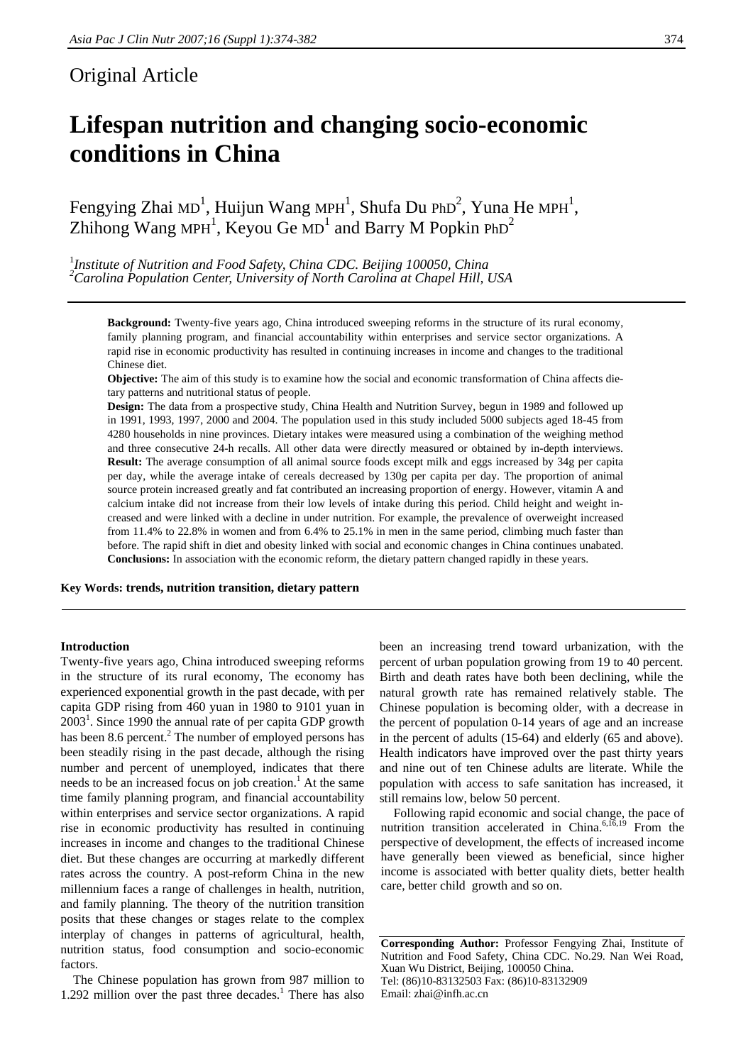## Original Article

# **Lifespan nutrition and changing socio-economic conditions in China**

Fengying Zhai MD<sup>1</sup>, Huijun Wang MPH<sup>1</sup>, Shufa Du PhD<sup>2</sup>, Yuna He MPH<sup>1</sup>, Zhihong Wang MPH<sup>1</sup>, Keyou Ge MD<sup>1</sup> and Barry M Popkin PhD<sup>2</sup>

<sup>1</sup>Institute of Nutrition and Food Safety, China CDC. Beijing 100050, China <sup>2</sup>Canolina Bopylation Captacal Uill *Carolina Population Center, University of North Carolina at Chapel Hill, USA* 

**Background:** Twenty-five years ago, China introduced sweeping reforms in the structure of its rural economy, family planning program, and financial accountability within enterprises and service sector organizations. A rapid rise in economic productivity has resulted in continuing increases in income and changes to the traditional Chinese diet.

**Objective:** The aim of this study is to examine how the social and economic transformation of China affects dietary patterns and nutritional status of people.

**Design:** The data from a prospective study, China Health and Nutrition Survey, begun in 1989 and followed up in 1991, 1993, 1997, 2000 and 2004. The population used in this study included 5000 subjects aged 18-45 from 4280 households in nine provinces. Dietary intakes were measured using a combination of the weighing method and three consecutive 24-h recalls. All other data were directly measured or obtained by in-depth interviews. **Result:** The average consumption of all animal source foods except milk and eggs increased by 34g per capita per day, while the average intake of cereals decreased by 130g per capita per day. The proportion of animal source protein increased greatly and fat contributed an increasing proportion of energy. However, vitamin A and calcium intake did not increase from their low levels of intake during this period. Child height and weight increased and were linked with a decline in under nutrition. For example, the prevalence of overweight increased from 11.4% to 22.8% in women and from 6.4% to 25.1% in men in the same period, climbing much faster than before. The rapid shift in diet and obesity linked with social and economic changes in China continues unabated. **Conclusions:** In association with the economic reform, the dietary pattern changed rapidly in these years.

**Key Words: trends, nutrition transition, dietary pattern** 

#### **Introduction**

Twenty-five years ago, China introduced sweeping reforms in the structure of its rural economy, The economy has experienced exponential growth in the past decade, with per capita GDP rising from 460 yuan in 1980 to 9101 yuan in  $2003<sup>1</sup>$ . Since 1990 the annual rate of per capita GDP growth has been 8.6 percent.<sup>2</sup> The number of employed persons has been steadily rising in the past decade, although the rising number and percent of unemployed, indicates that there needs to be an increased focus on job creation.<sup>1</sup> At the same time family planning program, and financial accountability within enterprises and service sector organizations. A rapid rise in economic productivity has resulted in continuing increases in income and changes to the traditional Chinese diet. But these changes are occurring at markedly different rates across the country. A post-reform China in the new millennium faces a range of challenges in health, nutrition, and family planning. The theory of the nutrition transition posits that these changes or stages relate to the complex interplay of changes in patterns of agricultural, health, nutrition status, food consumption and socio-economic factors.

The Chinese population has grown from 987 million to  $1.292$  million over the past three decades.<sup>1</sup> There has also been an increasing trend toward urbanization, with the percent of urban population growing from 19 to 40 percent. Birth and death rates have both been declining, while the natural growth rate has remained relatively stable. The Chinese population is becoming older, with a decrease in the percent of population 0-14 years of age and an increase in the percent of adults (15-64) and elderly (65 and above). Health indicators have improved over the past thirty years and nine out of ten Chinese adults are literate. While the population with access to safe sanitation has increased, it still remains low, below 50 percent.

Following rapid economic and social change, the pace of nutrition transition accelerated in China.<sup>6,16,19</sup> From the perspective of development, the effects of increased income have generally been viewed as beneficial, since higher income is associated with better quality diets, better health care, better child growth and so on.

**Corresponding Author:** Professor Fengying Zhai, Institute of Nutrition and Food Safety, China CDC. No.29. Nan Wei Road, Xuan Wu District, Beijing, 100050 China. Tel: (86)10-83132503 Fax: (86)10-83132909 Email: zhai@infh.ac.cn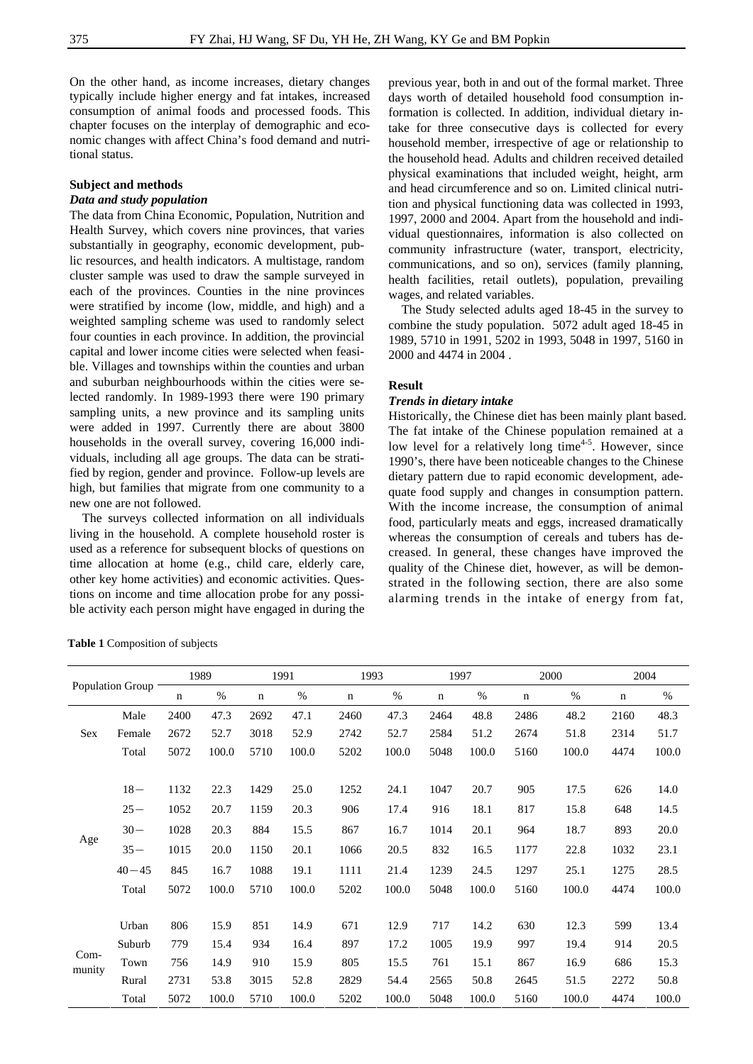On the other hand, as income increases, dietary changes typically include higher energy and fat intakes, increased consumption of animal foods and processed foods. This chapter focuses on the interplay of demographic and economic changes with affect China's food demand and nutritional status.

#### **Subject and methods**

#### *Data and study population*

The data from China Economic, Population, Nutrition and Health Survey, which covers nine provinces, that varies substantially in geography, economic development, public resources, and health indicators. A multistage, random cluster sample was used to draw the sample surveyed in each of the provinces. Counties in the nine provinces were stratified by income (low, middle, and high) and a weighted sampling scheme was used to randomly select four counties in each province. In addition, the provincial capital and lower income cities were selected when feasible. Villages and townships within the counties and urban and suburban neighbourhoods within the cities were selected randomly. In 1989-1993 there were 190 primary sampling units, a new province and its sampling units were added in 1997. Currently there are about 3800 households in the overall survey, covering 16,000 individuals, including all age groups. The data can be stratified by region, gender and province. Follow-up levels are high, but families that migrate from one community to a new one are not followed.

 The surveys collected information on all individuals living in the household. A complete household roster is used as a reference for subsequent blocks of questions on time allocation at home (e.g., child care, elderly care, other key home activities) and economic activities. Questions on income and time allocation probe for any possible activity each person might have engaged in during the previous year, both in and out of the formal market. Three days worth of detailed household food consumption information is collected. In addition, individual dietary intake for three consecutive days is collected for every household member, irrespective of age or relationship to the household head. Adults and children received detailed physical examinations that included weight, height, arm and head circumference and so on. Limited clinical nutrition and physical functioning data was collected in 1993, 1997, 2000 and 2004. Apart from the household and individual questionnaires, information is also collected on community infrastructure (water, transport, electricity, communications, and so on), services (family planning, health facilities, retail outlets), population, prevailing wages, and related variables.

 The Study selected adults aged 18-45 in the survey to combine the study population. 5072 adult aged 18-45 in 1989, 5710 in 1991, 5202 in 1993, 5048 in 1997, 5160 in 2000 and 4474 in 2004 .

#### **Result**

#### *Trends in dietary intake*

Historically, the Chinese diet has been mainly plant based. The fat intake of the Chinese population remained at a low level for a relatively long time<sup>4-5</sup>. However, since 1990's, there have been noticeable changes to the Chinese dietary pattern due to rapid economic development, adequate food supply and changes in consumption pattern. With the income increase, the consumption of animal food, particularly meats and eggs, increased dramatically whereas the consumption of cereals and tubers has decreased. In general, these changes have improved the quality of the Chinese diet, however, as will be demonstrated in the following section, there are also some alarming trends in the intake of energy from fat,

**Table 1** Composition of subjects

| Population Group |           | 1989 |       | 1991        |       |      | 1993  |             | 1997  |      | 2000  |             | 2004  |  |
|------------------|-----------|------|-------|-------------|-------|------|-------|-------------|-------|------|-------|-------------|-------|--|
|                  |           | n    | $\%$  | $\mathbf n$ | $\%$  | n    | $\%$  | $\mathbf n$ | $\%$  | n    | $\%$  | $\mathbf n$ | $\%$  |  |
| Sex              | Male      | 2400 | 47.3  | 2692        | 47.1  | 2460 | 47.3  | 2464        | 48.8  | 2486 | 48.2  | 2160        | 48.3  |  |
|                  | Female    | 2672 | 52.7  | 3018        | 52.9  | 2742 | 52.7  | 2584        | 51.2  | 2674 | 51.8  | 2314        | 51.7  |  |
|                  | Total     | 5072 | 100.0 | 5710        | 100.0 | 5202 | 100.0 | 5048        | 100.0 | 5160 | 100.0 | 4474        | 100.0 |  |
|                  |           |      |       |             |       |      |       |             |       |      |       |             |       |  |
| Age              | $18 -$    | 1132 | 22.3  | 1429        | 25.0  | 1252 | 24.1  | 1047        | 20.7  | 905  | 17.5  | 626         | 14.0  |  |
|                  | $25 -$    | 1052 | 20.7  | 1159        | 20.3  | 906  | 17.4  | 916         | 18.1  | 817  | 15.8  | 648         | 14.5  |  |
|                  | $30 -$    | 1028 | 20.3  | 884         | 15.5  | 867  | 16.7  | 1014        | 20.1  | 964  | 18.7  | 893         | 20.0  |  |
|                  | $35 -$    | 1015 | 20.0  | 1150        | 20.1  | 1066 | 20.5  | 832         | 16.5  | 1177 | 22.8  | 1032        | 23.1  |  |
|                  | $40 - 45$ | 845  | 16.7  | 1088        | 19.1  | 1111 | 21.4  | 1239        | 24.5  | 1297 | 25.1  | 1275        | 28.5  |  |
|                  | Total     | 5072 | 100.0 | 5710        | 100.0 | 5202 | 100.0 | 5048        | 100.0 | 5160 | 100.0 | 4474        | 100.0 |  |
|                  |           |      |       |             |       |      |       |             |       |      |       |             |       |  |
|                  | Urban     | 806  | 15.9  | 851         | 14.9  | 671  | 12.9  | 717         | 14.2  | 630  | 12.3  | 599         | 13.4  |  |
|                  | Suburb    | 779  | 15.4  | 934         | 16.4  | 897  | 17.2  | 1005        | 19.9  | 997  | 19.4  | 914         | 20.5  |  |
| Com-<br>munity   | Town      | 756  | 14.9  | 910         | 15.9  | 805  | 15.5  | 761         | 15.1  | 867  | 16.9  | 686         | 15.3  |  |
|                  | Rural     | 2731 | 53.8  | 3015        | 52.8  | 2829 | 54.4  | 2565        | 50.8  | 2645 | 51.5  | 2272        | 50.8  |  |
|                  | Total     | 5072 | 100.0 | 5710        | 100.0 | 5202 | 100.0 | 5048        | 100.0 | 5160 | 100.0 | 4474        | 100.0 |  |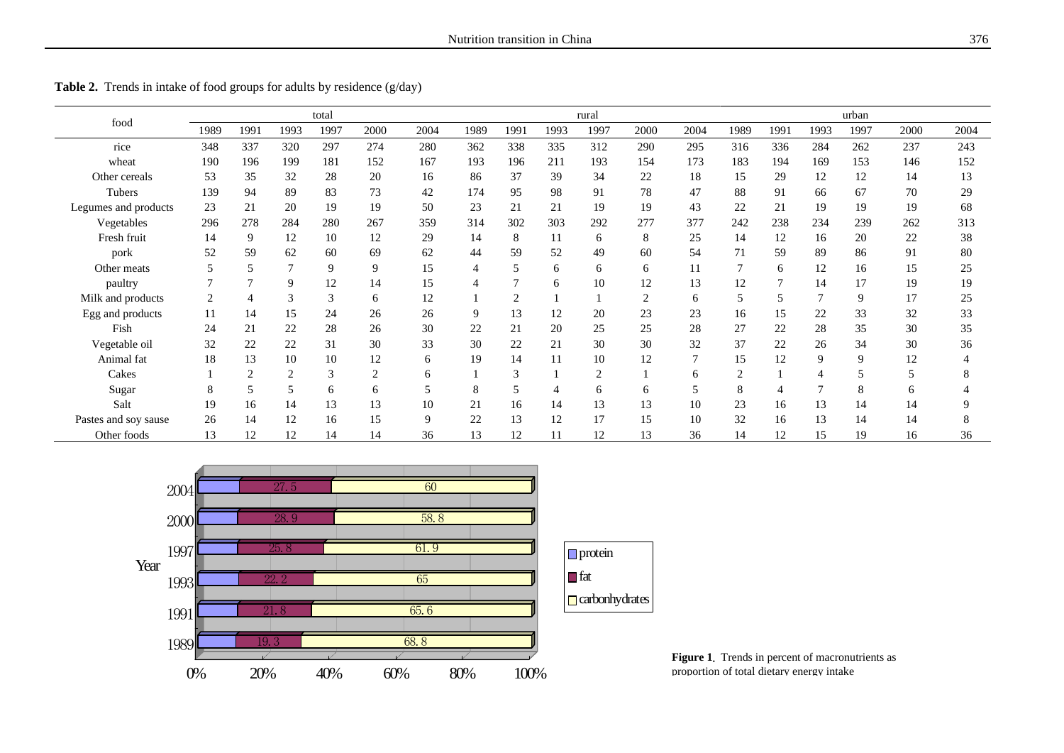|                      | total          |                |                |      |      | rural |                |      |                |      | urban |      |      |      |      |      |      |      |
|----------------------|----------------|----------------|----------------|------|------|-------|----------------|------|----------------|------|-------|------|------|------|------|------|------|------|
| food                 | 1989           | 1991           | 1993           | 1997 | 2000 | 2004  | 1989           | 1991 | 1993           | 1997 | 2000  | 2004 | 1989 | 1991 | 1993 | 1997 | 2000 | 2004 |
| rice                 | 348            | 337            | 320            | 297  | 274  | 280   | 362            | 338  | 335            | 312  | 290   | 295  | 316  | 336  | 284  | 262  | 237  | 243  |
| wheat                | 190            | 196            | 199            | 181  | 152  | 167   | 193            | 196  | 211            | 193  | 154   | 173  | 183  | 194  | 169  | 153  | 146  | 152  |
| Other cereals        | 53             | 35             | 32             | 28   | 20   | 16    | 86             | 37   | 39             | 34   | 22    | 18   | 15   | 29   | 12   | 12   | 14   | 13   |
| Tubers               | 139            | 94             | 89             | 83   | 73   | 42    | 174            | 95   | 98             | 91   | 78    | 47   | 88   | 91   | 66   | 67   | 70   | 29   |
| Legumes and products | 23             | 21             | 20             | 19   | 19   | 50    | 23             | 21   | 21             | 19   | 19    | 43   | 22   | 21   | 19   | 19   | 19   | 68   |
| Vegetables           | 296            | 278            | 284            | 280  | 267  | 359   | 314            | 302  | 303            | 292  | 277   | 377  | 242  | 238  | 234  | 239  | 262  | 313  |
| Fresh fruit          | 14             | 9              | 12             | 10   | 12   | 29    | 14             | 8    | 11             | 6    | 8     | 25   | 14   | 12   | 16   | 20   | 22   | 38   |
| pork                 | 52             | 59             | 62             | 60   | 69   | 62    | 44             | 59   | 52             | 49   | 60    | 54   | 71   | 59   | 89   | 86   | 91   | 80   |
| Other meats          |                | $\overline{5}$ | $\mathbf{r}$   | 9    | 9    | 15    | $\overline{4}$ | 5    | 6              | 6    | 6     | 11   | 7    | 6    | 12   | 16   | 15   | 25   |
| paultry              |                |                | 9              | 12   | 14   | 15    | 4              |      | 6              | 10   | 12    | 13   | 12   | 7    | 14   | 17   | 19   | 19   |
| Milk and products    | $\overline{2}$ |                | 3              | 3    | 6    | 12    |                |      |                |      | 2     | 6    | 5    | 5    |      | 9    | 17   | 25   |
| Egg and products     | 11             | 14             | 15             | 24   | 26   | 26    | 9              | 13   | 12             | 20   | 23    | 23   | 16   | 15   | 22   | 33   | 32   | 33   |
| Fish                 | 24             | 21             | 22             | 28   | 26   | 30    | 22             | 21   | 20             | 25   | 25    | 28   | 27   | 22   | 28   | 35   | 30   | 35   |
| Vegetable oil        | 32             | 22             | 22             | 31   | 30   | 33    | 30             | 22   | 21             | 30   | 30    | 32   | 37   | 22   | 26   | 34   | 30   | 36   |
| Animal fat           | 18             | 13             | 10             | 10   | 12   | 6     | 19             | 14   | 11             | 10   | 12    | 7    | 15   | 12   | 9    | 9    | 12   |      |
| Cakes                |                | $\overline{c}$ | $\overline{2}$ | 3    | 2    | 6     |                | 3    |                | 2    |       | 6    | ∍    |      | 4    | 5    | 5    |      |
| Sugar                | 8              |                |                | 6    | 6    |       | 8              |      | $\overline{4}$ | 6    | 6     | 5    | 8    | 4    |      | 8    | 6    |      |
| Salt                 | 19             | 16             | 14             | 13   | 13   | 10    | 21             | 16   | 14             | 13   | 13    | 10   | 23   | 16   | 13   | 14   | 14   |      |
| Pastes and soy sause | 26             | 14             | 12             | 16   | 15   | 9     | 22             | 13   | 12             | 17   | 15    | 10   | 32   | 16   | 13   | 14   | 14   | 8    |
| Other foods          | 13             | 12             | 12             | 14   | 14   | 36    | 13             | 12   |                | 12   | 13    | 36   | 14   | 12   | 15   | 19   | 16   | 36   |

**Table 2.** Trends in intake of food groups for adults by residence (g/day)



**Figure 1**. Trends in percent of macronutrients as proportion of total dietary energy intake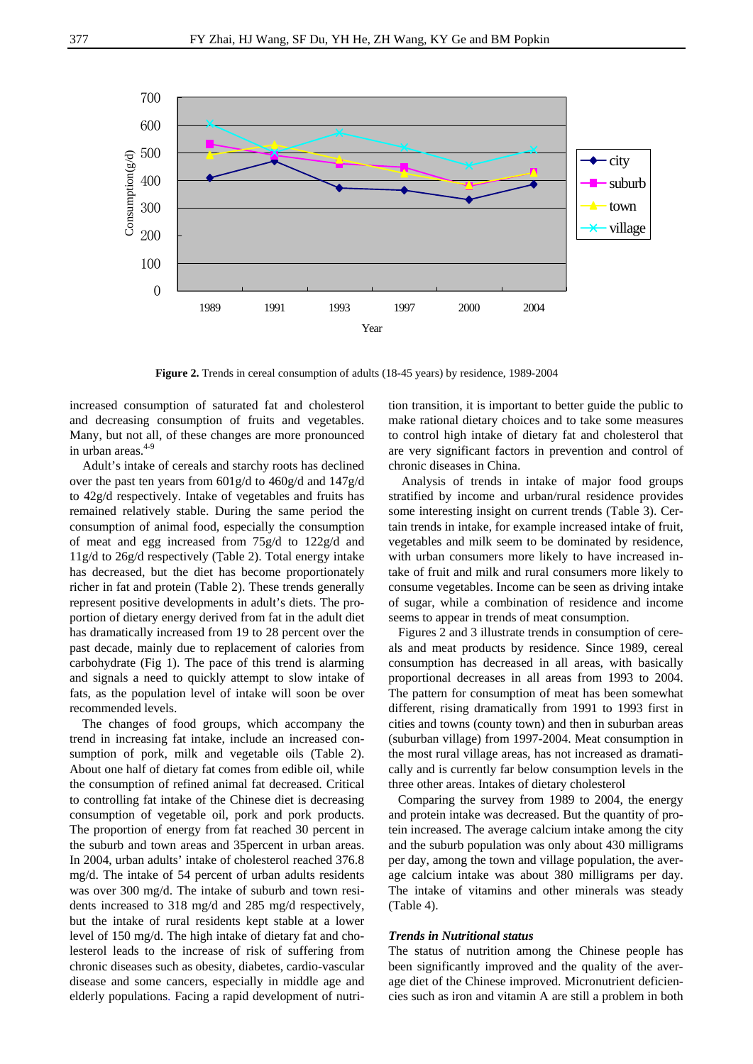

**Figure 2.** Trends in cereal consumption of adults (18-45 years) by residence, 1989-2004

increased consumption of saturated fat and cholesterol and decreasing consumption of fruits and vegetables. Many, but not all, of these changes are more pronounced in urban areas.<sup>4-9</sup>

 Adult's intake of cereals and starchy roots has declined over the past ten years from 601g/d to 460g/d and 147g/d to 42g/d respectively. Intake of vegetables and fruits has remained relatively stable. During the same period the consumption of animal food, especially the consumption of meat and egg increased from 75g/d to 122g/d and 11g/d to 26g/d respectively (Table 2). Total energy intake has decreased, but the diet has become proportionately richer in fat and protein (Table 2). These trends generally represent positive developments in adult's diets. The proportion of dietary energy derived from fat in the adult diet has dramatically increased from 19 to 28 percent over the past decade, mainly due to replacement of calories from carbohydrate (Fig 1). The pace of this trend is alarming and signals a need to quickly attempt to slow intake of fats, as the population level of intake will soon be over recommended levels.

 The changes of food groups, which accompany the trend in increasing fat intake, include an increased consumption of pork, milk and vegetable oils (Table 2). About one half of dietary fat comes from edible oil, while the consumption of refined animal fat decreased. Critical to controlling fat intake of the Chinese diet is decreasing consumption of vegetable oil, pork and pork products. The proportion of energy from fat reached 30 percent in the suburb and town areas and 35percent in urban areas. In 2004, urban adults' intake of cholesterol reached 376.8 mg/d. The intake of 54 percent of urban adults residents was over 300 mg/d. The intake of suburb and town residents increased to 318 mg/d and 285 mg/d respectively, but the intake of rural residents kept stable at a lower level of 150 mg/d. The high intake of dietary fat and cholesterol leads to the increase of risk of suffering from chronic diseases such as obesity, diabetes, cardio-vascular disease and some cancers, especially in middle age and elderly populations. Facing a rapid development of nutrition transition, it is important to better guide the public to make rational dietary choices and to take some measures to control high intake of dietary fat and cholesterol that are very significant factors in prevention and control of chronic diseases in China.

 Analysis of trends in intake of major food groups stratified by income and urban/rural residence provides some interesting insight on current trends (Table 3). Certain trends in intake, for example increased intake of fruit, vegetables and milk seem to be dominated by residence, with urban consumers more likely to have increased intake of fruit and milk and rural consumers more likely to consume vegetables. Income can be seen as driving intake of sugar, while a combination of residence and income seems to appear in trends of meat consumption.

 Figures 2 and 3 illustrate trends in consumption of cereals and meat products by residence. Since 1989, cereal consumption has decreased in all areas, with basically proportional decreases in all areas from 1993 to 2004. The pattern for consumption of meat has been somewhat different, rising dramatically from 1991 to 1993 first in cities and towns (county town) and then in suburban areas (suburban village) from 1997-2004. Meat consumption in the most rural village areas, has not increased as dramatically and is currently far below consumption levels in the three other areas. Intakes of dietary cholesterol

 Comparing the survey from 1989 to 2004, the energy and protein intake was decreased. But the quantity of protein increased. The average calcium intake among the city and the suburb population was only about 430 milligrams per day, among the town and village population, the average calcium intake was about 380 milligrams per day. The intake of vitamins and other minerals was steady (Table 4).

#### *Trends in Nutritional status*

The status of nutrition among the Chinese people has been significantly improved and the quality of the average diet of the Chinese improved. Micronutrient deficiencies such as iron and vitamin A are still a problem in both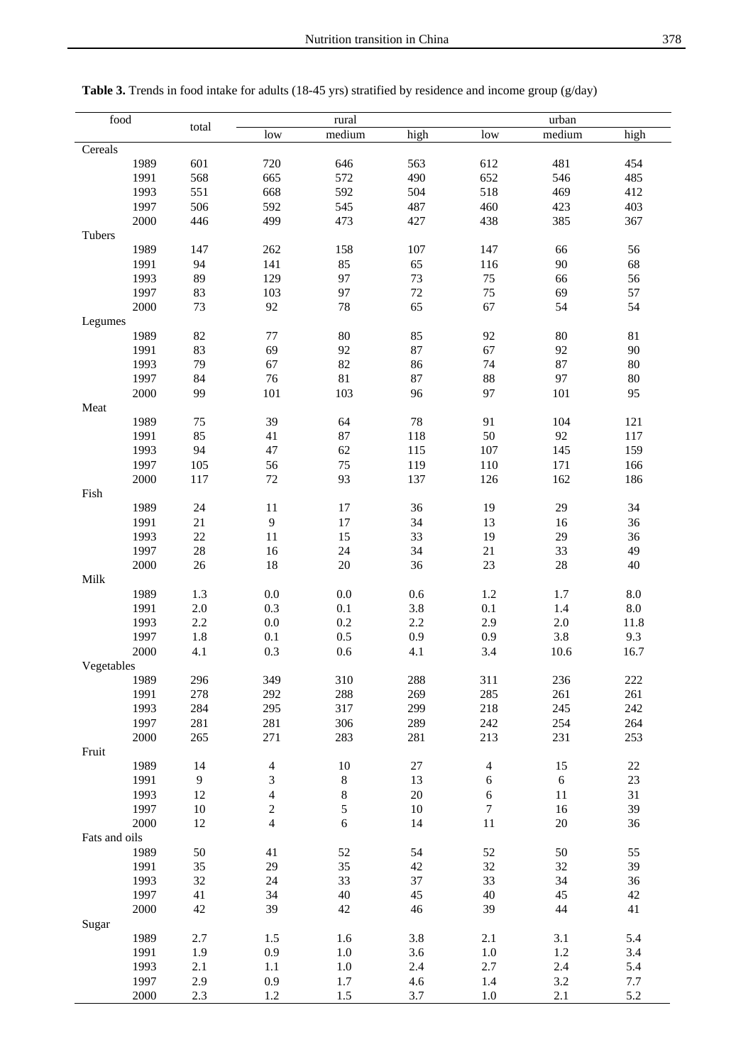| ۰.<br>۰<br>× | ۰.<br>×<br>۰.<br>M. |
|--------------|---------------------|
|              |                     |

| food          |      |         |                          | rural       |        | urban            |        |        |  |  |  |
|---------------|------|---------|--------------------------|-------------|--------|------------------|--------|--------|--|--|--|
|               |      | total   | low                      | medium      | high   | low              | medium | high   |  |  |  |
| Cereals       |      |         |                          |             |        |                  |        |        |  |  |  |
|               | 1989 | 601     | 720                      | 646         | 563    | 612              | 481    | 454    |  |  |  |
|               | 1991 | 568     | 665                      | 572         | 490    | 652              | 546    | 485    |  |  |  |
|               | 1993 | 551     | 668                      | 592         | 504    | 518              | 469    | 412    |  |  |  |
|               | 1997 | 506     | 592                      | 545         | 487    | 460              | 423    | 403    |  |  |  |
|               | 2000 | 446     | 499                      | 473         | 427    | 438              | 385    | 367    |  |  |  |
| Tubers        |      |         |                          |             |        |                  |        |        |  |  |  |
|               | 1989 | 147     | 262                      | 158         | 107    | 147              | 66     | 56     |  |  |  |
|               | 1991 | 94      | 141                      | 85          | 65     | 116              | 90     | 68     |  |  |  |
|               | 1993 | 89      | 129                      | 97          | 73     | 75               | 66     | 56     |  |  |  |
|               | 1997 | 83      | 103                      | 97          | $72\,$ | 75               | 69     | 57     |  |  |  |
|               | 2000 | 73      | 92                       | 78          | 65     | 67               | 54     | 54     |  |  |  |
| Legumes       |      |         |                          |             |        |                  |        |        |  |  |  |
|               | 1989 | 82      | $77 \,$                  | 80          | 85     | 92               | $80\,$ | 81     |  |  |  |
|               | 1991 | 83      | 69                       | 92          | 87     | 67               | 92     | 90     |  |  |  |
|               | 1993 | 79      | 67                       | 82          | 86     | 74               | 87     | $80\,$ |  |  |  |
|               | 1997 | 84      | 76                       | 81          | 87     | 88               | 97     | $80\,$ |  |  |  |
|               | 2000 | 99      | 101                      | 103         | 96     | 97               | 101    | 95     |  |  |  |
| Meat          |      |         |                          |             |        |                  |        |        |  |  |  |
|               | 1989 | 75      | 39                       | 64          | $78\,$ | 91               | 104    | 121    |  |  |  |
|               | 1991 | 85      | 41                       | 87          | 118    | 50               | 92     | 117    |  |  |  |
|               | 1993 | 94      | 47                       | 62          | 115    | 107              | 145    | 159    |  |  |  |
|               | 1997 | 105     | 56                       | 75          | 119    | 110              | 171    | 166    |  |  |  |
|               | 2000 | 117     | 72                       | 93          | 137    | 126              | 162    | 186    |  |  |  |
| Fish          |      |         |                          |             |        |                  |        |        |  |  |  |
|               | 1989 | 24      | 11                       | 17          | 36     | 19               | 29     | 34     |  |  |  |
|               | 1991 | 21      | 9                        | 17          | 34     | 13               | 16     | 36     |  |  |  |
|               | 1993 | $22\,$  | 11                       | 15          | 33     | 19               | 29     | 36     |  |  |  |
|               | 1997 | 28      | 16                       | 24          | 34     | 21               | 33     | 49     |  |  |  |
|               | 2000 | 26      | 18                       | 20          | 36     | 23               | 28     | 40     |  |  |  |
| Milk          |      |         |                          |             |        |                  |        |        |  |  |  |
|               | 1989 | 1.3     | 0.0                      | 0.0         | 0.6    | 1.2              | 1.7    | 8.0    |  |  |  |
|               | 1991 | $2.0\,$ | 0.3                      | 0.1         | 3.8    | 0.1              | 1.4    | 8.0    |  |  |  |
|               | 1993 | 2.2     | $0.0\,$                  | 0.2         | 2.2    | 2.9              | 2.0    | 11.8   |  |  |  |
|               | 1997 | 1.8     | 0.1                      | 0.5         | 0.9    | 0.9              | 3.8    | 9.3    |  |  |  |
|               | 2000 | 4.1     | 0.3                      | 0.6         | 4.1    | 3.4              | 10.6   | 16.7   |  |  |  |
| Vegetables    |      |         |                          |             |        |                  |        |        |  |  |  |
|               | 1989 | 296     | 349                      | 310         | 288    | 311              | 236    | 222    |  |  |  |
|               | 1991 | 278     | 292                      | 288         | 269    | 285              | 261    | 261    |  |  |  |
|               | 1993 | 284     | 295                      | 317         | 299    | 218              | 245    | 242    |  |  |  |
|               | 1997 | 281     | 281                      | 306         | 289    | 242              | 254    | 264    |  |  |  |
|               | 2000 | 265     | 271                      | 283         | 281    | 213              | 231    | 253    |  |  |  |
| Fruit         |      |         |                          |             |        |                  |        |        |  |  |  |
|               | 1989 | 14      | $\overline{4}$           | 10          | $27\,$ | $\overline{4}$   | 15     | $22\,$ |  |  |  |
|               | 1991 | 9       | 3                        | $\,$ 8 $\,$ | 13     | 6                | 6      | 23     |  |  |  |
|               | 1993 | 12      | $\overline{\mathcal{L}}$ | 8           | $20\,$ | 6                | 11     | 31     |  |  |  |
|               | 1997 | 10      | $\overline{c}$           | 5           | 10     | $\boldsymbol{7}$ | 16     | 39     |  |  |  |
|               | 2000 | 12      | 4                        | 6           | 14     | 11               | $20\,$ | 36     |  |  |  |
| Fats and oils |      |         |                          |             |        |                  |        |        |  |  |  |
|               | 1989 | $50\,$  | 41                       | 52          | 54     | 52               | $50\,$ | 55     |  |  |  |
|               | 1991 | 35      | 29                       | 35          | $42\,$ | 32               | 32     | 39     |  |  |  |
|               | 1993 | 32      | 24                       | 33          | 37     | 33               | 34     | 36     |  |  |  |
|               | 1997 | 41      | 34                       | 40          | 45     | $40\,$           | 45     | $42\,$ |  |  |  |
|               | 2000 | 42      | 39                       | 42          | 46     | 39               | 44     | 41     |  |  |  |
| Sugar         |      |         |                          |             |        |                  |        |        |  |  |  |
|               | 1989 | 2.7     | 1.5                      | 1.6         | 3.8    | 2.1              | 3.1    | 5.4    |  |  |  |
|               | 1991 | 1.9     | 0.9                      | $1.0\,$     | 3.6    | $1.0\,$          | 1.2    | 3.4    |  |  |  |
|               | 1993 | 2.1     | 1.1                      | 1.0         | 2.4    | 2.7              | 2.4    | 5.4    |  |  |  |
|               | 1997 | 2.9     | 0.9                      | 1.7         | 4.6    | 1.4              | 3.2    | 7.7    |  |  |  |
|               | 2000 | 2.3     | 1.2                      | 1.5         | 3.7    | 1.0              | 2.1    | 5.2    |  |  |  |

**Table 3.** Trends in food intake for adults (18-45 yrs) stratified by residence and income group (g/day)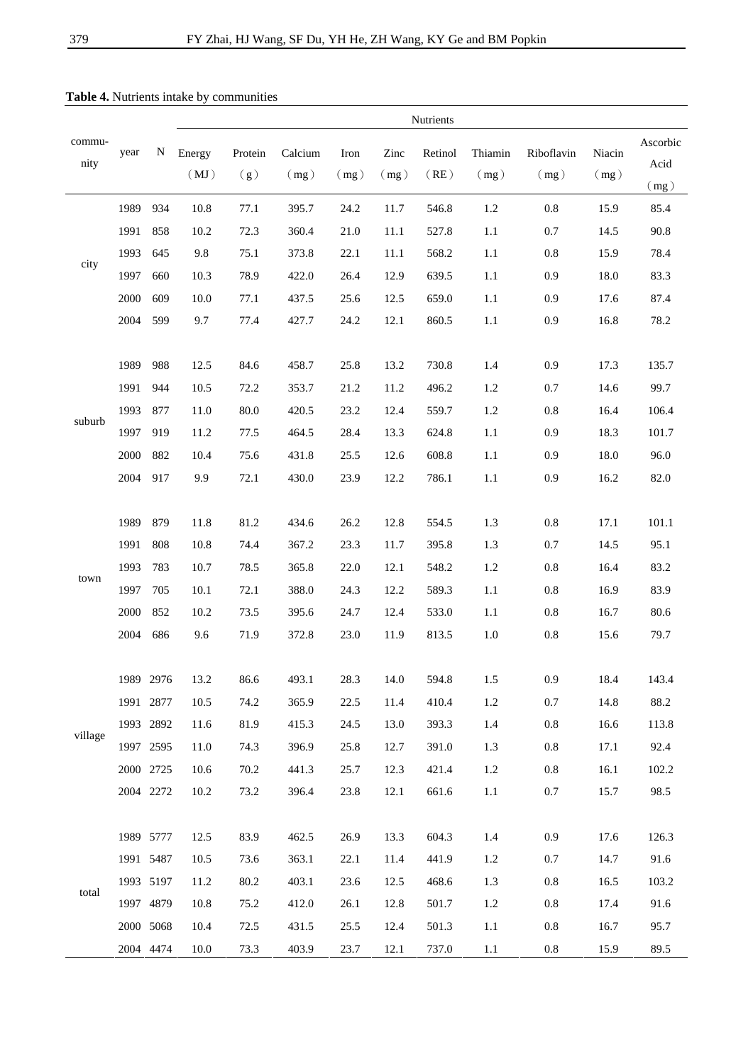|                |           |           | Nutrients      |                |                 |              |              |                 |                 |                    |                |                          |
|----------------|-----------|-----------|----------------|----------------|-----------------|--------------|--------------|-----------------|-----------------|--------------------|----------------|--------------------------|
| commu-<br>nity | year      | N         | Energy<br>(MJ) | Protein<br>(g) | Calcium<br>(mg) | Iron<br>(mg) | Zinc<br>(mg) | Retinol<br>(RE) | Thiamin<br>(mg) | Riboflavin<br>(mg) | Niacin<br>(mg) | Ascorbic<br>Acid<br>(mg) |
|                | 1989      | 934       | 10.8           | 77.1           | 395.7           | 24.2         | 11.7         | 546.8           | $1.2\,$         | $0.8\,$            | 15.9           | 85.4                     |
| city           | 1991      | 858       | 10.2           | 72.3           | 360.4           | 21.0         | 11.1         | 527.8           | 1.1             | 0.7                | 14.5           | 90.8                     |
|                | 1993      | 645       | 9.8            | 75.1           | 373.8           | 22.1         | 11.1         | 568.2           | 1.1             | 0.8                | 15.9           | 78.4                     |
|                | 1997      | 660       | 10.3           | 78.9           | 422.0           | 26.4         | 12.9         | 639.5           | 1.1             | 0.9                | 18.0           | 83.3                     |
|                | 2000      | 609       | 10.0           | 77.1           | 437.5           | 25.6         | 12.5         | 659.0           | 1.1             | 0.9                | 17.6           | 87.4                     |
|                | 2004      | 599       | 9.7            | 77.4           | 427.7           | 24.2         | 12.1         | 860.5           | 1.1             | 0.9                | 16.8           | 78.2                     |
|                | 1989      | 988       | 12.5           | 84.6           | 458.7           | 25.8         | 13.2         | 730.8           | 1.4             | 0.9                | 17.3           | 135.7                    |
|                | 1991      | 944       | 10.5           | 72.2           | 353.7           | 21.2         | 11.2         | 496.2           | 1.2             | 0.7                | 14.6           | 99.7                     |
| suburb         | 1993      | 877       | 11.0           | 80.0           | 420.5           | 23.2         | 12.4         | 559.7           | 1.2             | 0.8                | 16.4           | 106.4                    |
|                | 1997      | 919       | 11.2           | 77.5           | 464.5           | 28.4         | 13.3         | 624.8           | 1.1             | 0.9                | 18.3           | 101.7                    |
|                | 2000      | 882       | 10.4           | 75.6           | 431.8           | 25.5         | 12.6         | 608.8           | 1.1             | 0.9                | 18.0           | 96.0                     |
|                | 2004      | 917       | 9.9            | 72.1           | 430.0           | 23.9         | 12.2         | 786.1           | 1.1             | 0.9                | 16.2           | 82.0                     |
|                | 1989      | 879       | 11.8           | 81.2           | 434.6           | 26.2         | 12.8         | 554.5           | 1.3             | 0.8                | 17.1           | 101.1                    |
|                | 1991      | 808       | 10.8           | 74.4           | 367.2           | 23.3         | 11.7         | 395.8           | 1.3             | 0.7                | 14.5           | 95.1                     |
|                | 1993      | 783       | 10.7           | 78.5           | 365.8           | 22.0         | 12.1         | 548.2           | 1.2             | 0.8                | 16.4           | 83.2                     |
| town           | 1997      | 705       | 10.1           | 72.1           | 388.0           | 24.3         | 12.2         | 589.3           | 1.1             | 0.8                | 16.9           | 83.9                     |
|                | 2000      | 852       | 10.2           | 73.5           | 395.6           | 24.7         | 12.4         | 533.0           | 1.1             | 0.8                | 16.7           | 80.6                     |
|                | 2004      | 686       | 9.6            | 71.9           | 372.8           | 23.0         | 11.9         | 813.5           | $1.0\,$         | $0.8\,$            | 15.6           | 79.7                     |
|                |           | 1989 2976 | 13.2           | 86.6           | 493.1           | 28.3         | 14.0         | 594.8           | 1.5             | 0.9                | 18.4           | 143.4                    |
|                | 1991 2877 |           | 10.5           | 74.2           | 365.9           | 22.5         | 11.4         | 410.4           | $1.2\,$         | $0.7\,$            | 14.8           | 88.2                     |
|                | 1993 2892 |           | 11.6           | 81.9           | 415.3           | 24.5         | 13.0         | 393.3           | 1.4             | 0.8                | 16.6           | 113.8                    |
| village        | 1997 2595 |           | 11.0           | 74.3           | 396.9           | 25.8         | 12.7         | 391.0           | 1.3             | $0.8\,$            | 17.1           | 92.4                     |
|                | 2000 2725 |           | 10.6           | 70.2           | 441.3           | 25.7         | 12.3         | 421.4           | 1.2             | $0.8\,$            | 16.1           | 102.2                    |
|                | 2004 2272 |           | 10.2           | 73.2           | 396.4           | 23.8         | 12.1         | 661.6           | $1.1\,$         | $0.7\,$            | 15.7           | 98.5                     |
|                | 1989 5777 |           | 12.5           | 83.9           | 462.5           | 26.9         | 13.3         | 604.3           | 1.4             | 0.9                | 17.6           | 126.3                    |
|                | 1991 5487 |           | 10.5           | 73.6           | 363.1           | 22.1         | 11.4         | 441.9           | 1.2             | 0.7                | 14.7           | 91.6                     |
|                | 1993 5197 |           | 11.2           | 80.2           | 403.1           | 23.6         | 12.5         | 468.6           | 1.3             | $0.8\,$            | 16.5           | 103.2                    |
| total          | 1997 4879 |           | 10.8           | 75.2           | 412.0           | 26.1         | 12.8         | 501.7           | 1.2             | $0.8\,$            | 17.4           | 91.6                     |
|                | 2000 5068 |           | 10.4           | 72.5           | 431.5           | 25.5         | 12.4         | 501.3           | 1.1             | $0.8\,$            | 16.7           | 95.7                     |
|                | 2004 4474 |           | 10.0           | 73.3           | 403.9           | 23.7         | 12.1         | 737.0           | 1.1             | $0.8\,$            | 15.9           | 89.5                     |

### **Table 4.** Nutrients intake by communities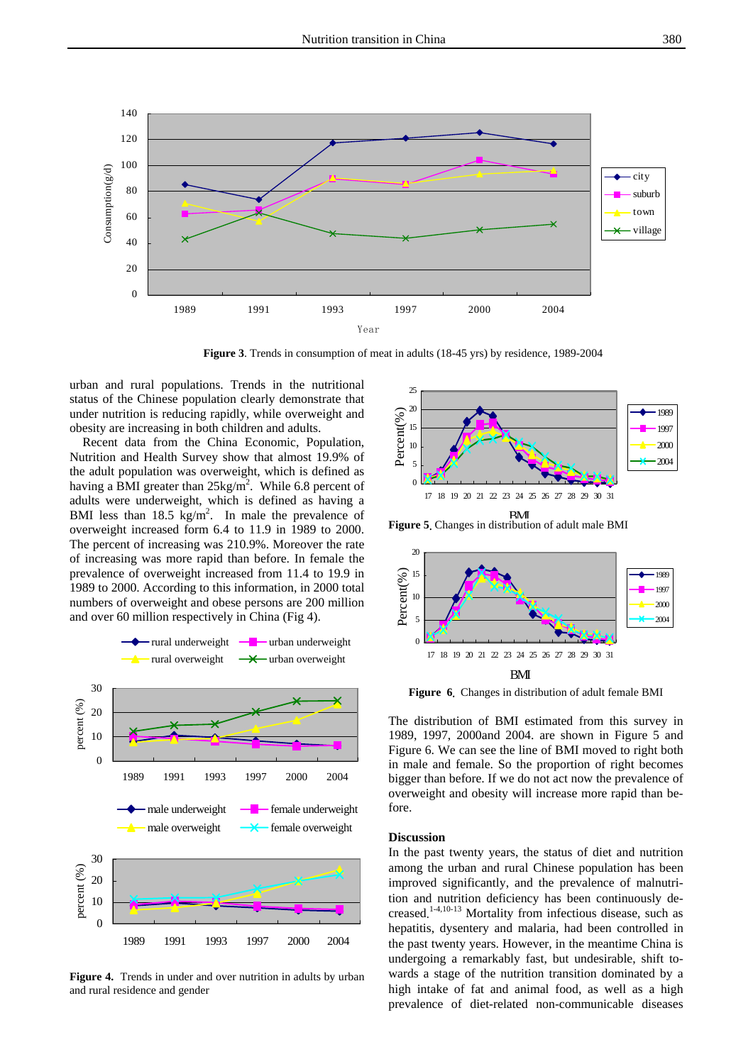

**Figure 3**. Trends in consumption of meat in adults (18-45 yrs) by residence, 1989-2004

urban and rural populations. Trends in the nutritional status of the Chinese population clearly demonstrate that under nutrition is reducing rapidly, while overweight and obesity are increasing in both children and adults.

 Recent data from the China Economic, Population, Nutrition and Health Survey show that almost 19.9% of the adult population was overweight, which is defined as having a BMI greater than  $25\text{kg/m}^2$ . While 6.8 percent of adults were underweight, which is defined as having a BMI less than  $18.5 \text{ kg/m}^2$ . In male the prevalence of overweight increased form 6.4 to 11.9 in 1989 to 2000. The percent of increasing was 210.9%. Moreover the rate of increasing was more rapid than before. In female the prevalence of overweight increased from 11.4 to 19.9 in 1989 to 2000. According to this information, in 2000 total numbers of overweight and obese persons are 200 million and over 60 million respectively in China (Fig 4).



**Figure 4.** Trends in under and over nutrition in adults by urban and rural residence and gender



**RM Figure 5**. Changes in distribution of adult male BMI



**Figure 6**. Changes in distribution of adult female BMI

The distribution of BMI estimated from this survey in 1989, 1997, 2000and 2004. are shown in Figure 5 and Figure 6. We can see the line of BMI moved to right both in male and female. So the proportion of right becomes bigger than before. If we do not act now the prevalence of overweight and obesity will increase more rapid than before.

#### **Discussion**

In the past twenty years, the status of diet and nutrition among the urban and rural Chinese population has been improved significantly, and the prevalence of malnutrition and nutrition deficiency has been continuously decreased. 1-4,10-13 Mortality from infectious disease, such as hepatitis, dysentery and malaria, had been controlled in the past twenty years. However, in the meantime China is undergoing a remarkably fast, but undesirable, shift towards a stage of the nutrition transition dominated by a high intake of fat and animal food, as well as a high prevalence of diet-related non-communicable diseases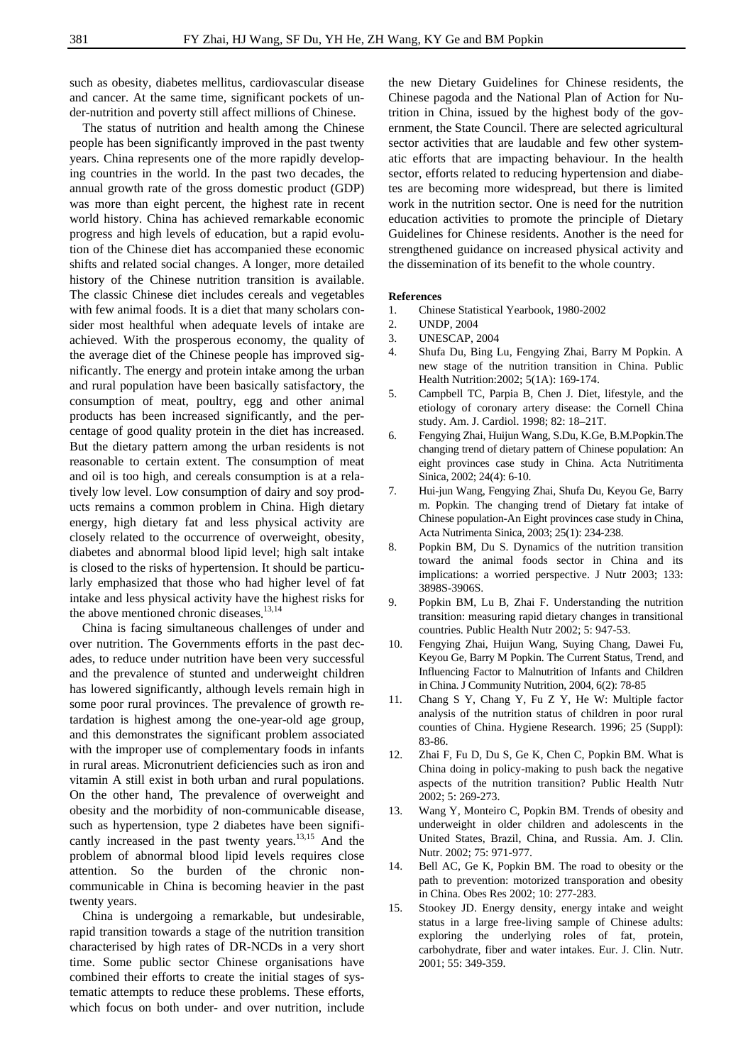such as obesity, diabetes mellitus, cardiovascular disease and cancer. At the same time, significant pockets of under-nutrition and poverty still affect millions of Chinese.

 The status of nutrition and health among the Chinese people has been significantly improved in the past twenty years. China represents one of the more rapidly developing countries in the world. In the past two decades, the annual growth rate of the gross domestic product (GDP) was more than eight percent, the highest rate in recent world history. China has achieved remarkable economic progress and high levels of education, but a rapid evolution of the Chinese diet has accompanied these economic shifts and related social changes. A longer, more detailed history of the Chinese nutrition transition is available. The classic Chinese diet includes cereals and vegetables with few animal foods. It is a diet that many scholars consider most healthful when adequate levels of intake are achieved. With the prosperous economy, the quality of the average diet of the Chinese people has improved significantly. The energy and protein intake among the urban and rural population have been basically satisfactory, the consumption of meat, poultry, egg and other animal products has been increased significantly, and the percentage of good quality protein in the diet has increased. But the dietary pattern among the urban residents is not reasonable to certain extent. The consumption of meat and oil is too high, and cereals consumption is at a relatively low level. Low consumption of dairy and soy products remains a common problem in China. High dietary energy, high dietary fat and less physical activity are closely related to the occurrence of overweight, obesity, diabetes and abnormal blood lipid level; high salt intake is closed to the risks of hypertension. It should be particularly emphasized that those who had higher level of fat intake and less physical activity have the highest risks for the above mentioned chronic diseases.<sup>13,14</sup>

 China is facing simultaneous challenges of under and over nutrition. The Governments efforts in the past decades, to reduce under nutrition have been very successful and the prevalence of stunted and underweight children has lowered significantly, although levels remain high in some poor rural provinces. The prevalence of growth retardation is highest among the one-year-old age group, and this demonstrates the significant problem associated with the improper use of complementary foods in infants in rural areas. Micronutrient deficiencies such as iron and vitamin A still exist in both urban and rural populations. On the other hand, The prevalence of overweight and obesity and the morbidity of non-communicable disease, such as hypertension, type 2 diabetes have been significantly increased in the past twenty years.<sup>13,15</sup> And the problem of abnormal blood lipid levels requires close attention. So the burden of the chronic noncommunicable in China is becoming heavier in the past twenty years.

 China is undergoing a remarkable, but undesirable, rapid transition towards a stage of the nutrition transition characterised by high rates of DR-NCDs in a very short time. Some public sector Chinese organisations have combined their efforts to create the initial stages of systematic attempts to reduce these problems. These efforts, which focus on both under- and over nutrition, include

the new Dietary Guidelines for Chinese residents, the Chinese pagoda and the National Plan of Action for Nutrition in China, issued by the highest body of the government, the State Council. There are selected agricultural sector activities that are laudable and few other systematic efforts that are impacting behaviour. In the health sector, efforts related to reducing hypertension and diabetes are becoming more widespread, but there is limited work in the nutrition sector. One is need for the nutrition education activities to promote the principle of Dietary Guidelines for Chinese residents. Another is the need for strengthened guidance on increased physical activity and the dissemination of its benefit to the whole country.

#### **References**

- 1. Chinese Statistical Yearbook, 1980-2002
- 2. UNDP, 2004
- 3. UNESCAP, 2004
- 4. Shufa Du, Bing Lu, Fengying Zhai, Barry M Popkin. A new stage of the nutrition transition in China. Public Health Nutrition:2002; 5(1A): 169-174.
- 5. Campbell TC, Parpia B, Chen J. Diet, lifestyle, and the etiology of coronary artery disease: the Cornell China study. Am. J. Cardiol. 1998; 82: 18–21T.
- 6. Fengying Zhai, Huijun Wang, S.Du, K.Ge, B.M.Popkin.The changing trend of dietary pattern of Chinese population: An eight provinces case study in China. Acta Nutritimenta Sinica, 2002; 24(4): 6-10.
- 7. Hui-jun Wang, Fengying Zhai, Shufa Du, Keyou Ge, Barry m. Popkin. The changing trend of Dietary fat intake of Chinese population-An Eight provinces case study in China, Acta Nutrimenta Sinica, 2003; 25(1): 234-238.
- 8. Popkin BM, Du S. Dynamics of the nutrition transition toward the animal foods sector in China and its implications: a worried perspective. J Nutr 2003; 133: 3898S-3906S.
- 9. Popkin BM, Lu B, Zhai F. Understanding the nutrition transition: measuring rapid dietary changes in transitional countries. Public Health Nutr 2002; 5: 947-53.
- 10. Fengying Zhai, Huijun Wang, Suying Chang, Dawei Fu, Keyou Ge, Barry M Popkin. The Current Status, Trend, and Influencing Factor to Malnutrition of Infants and Children in China. J Community Nutrition, 2004, 6(2): 78-85
- 11. Chang S Y, Chang Y, Fu Z Y, He W: Multiple factor analysis of the nutrition status of children in poor rural counties of China. Hygiene Research. 1996; 25 (Suppl): 83-86.
- 12. Zhai F, Fu D, Du S, Ge K, Chen C, Popkin BM. What is China doing in policy-making to push back the negative aspects of the nutrition transition? Public Health Nutr 2002; 5: 269-273.
- 13. Wang Y, Monteiro C, Popkin BM. Trends of obesity and underweight in older children and adolescents in the United States, Brazil, China, and Russia. Am. J. Clin. Nutr. 2002; 75: 971-977.
- 14. Bell AC, Ge K, Popkin BM. The road to obesity or the path to prevention: motorized transporation and obesity in China. Obes Res 2002; 10: 277-283.
- 15. Stookey JD. Energy density, energy intake and weight status in a large free-living sample of Chinese adults: exploring the underlying roles of fat, protein, carbohydrate, fiber and water intakes. Eur. J. Clin. Nutr. 2001; 55: 349-359.